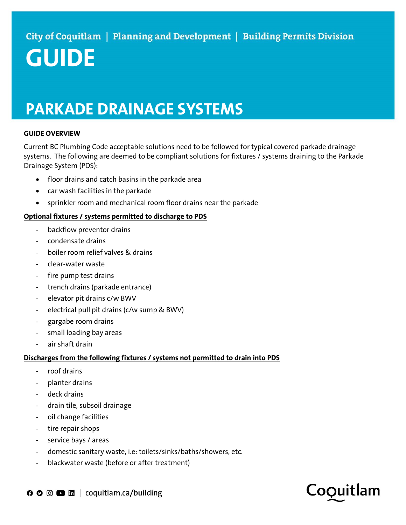# GUIDE

## PARKADE DRAINAGE SYSTEMS

### GUIDE OVERVIEW

Current BC Plumbing Code acceptable solutions need to be followed for typical covered parkade drainage systems. The following are deemed to be compliant solutions for fixtures / systems draining to the Parkade Drainage System (PDS):

- floor drains and catch basins in the parkade area
- car wash facilities in the parkade
- sprinkler room and mechanical room floor drains near the parkade

#### Optional fixtures / systems permitted to discharge to PDS

- backflow preventor drains
- condensate drains
- boiler room relief valves & drains
- clear-water waste
- fire pump test drains
- trench drains (parkade entrance)
- elevator pit drains c/w BWV
- electrical pull pit drains (c/w sump & BWV)
- gargabe room drains
- small loading bay areas
- air shaft drain

### Discharges from the following fixtures / systems not permitted to drain into PDS

- roof drains
- planter drains
- deck drains
- drain tile, subsoil drainage
- oil change facilities
- tire repair shops
- service bays / areas
- domestic sanitary waste, i.e: toilets/sinks/baths/showers, etc.
- blackwater waste (before or after treatment)

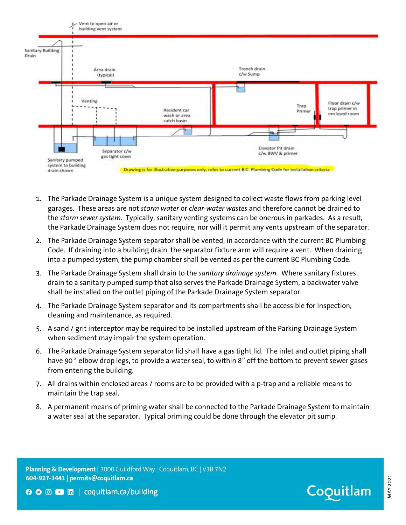

- 1. The Parkade Drainage System is a unique system designed to collect waste flows from parking level garages. These areas are not *storm water or clear-water wastes* and therefore cannot be drained to the *storm sewer system*. Typically, sanitary venting systems can be onerous in parkades. As a result, the Parkade Drainage System does not require, nor will it permit any vents upstream of the separator.
- 2. The Parkade Drainage System separator shall be vented, in accordance with the current BC Plumbing Code. If draining into a building drain, the separator fixture arm will require a vent. When draining into a pumped system, the pump chamber shall be vented as per the current BC Plumbing Code.
- 3. The Parkade Drainage System shall drain to the sanitary drainage system. Where sanitary fixtures drain to a sanitary pumped sump that also serves the Parkade Drainage System, a backwater valve shall be installed on the outlet piping of the Parkade Drainage System separator.
- 4. The Parkade Drainage System separator and its compartments shall be accessible for inspection, cleaning and maintenance, as required.
- 5. A sand / grit interceptor may be required to be installed upstream of the Parking Drainage System when sediment may impair the system operation.
- 6. The Parkade Drainage System separator lid shall have a gas tight lid. The inlet and outlet piping shall have 90° elbow drop legs, to provide a water seal, to within 8" off the bottom to prevent sewer gases from entering the building.
- 7. All drains within enclosed areas / rooms are to be provided with a p-trap and a reliable means to maintain the trap seal.
- 8. A permanent means of priming water shall be connected to the Parkade Drainage System to maintain a water seal at the separator. Typical priming could be done through the elevator pit sump.

Planning & Development | 3000 Guildford Way | Coquitlam, BC | V3B 7N2 604-927-3441 | permits@coquitlam.ca



MAY <sup>2021</sup>